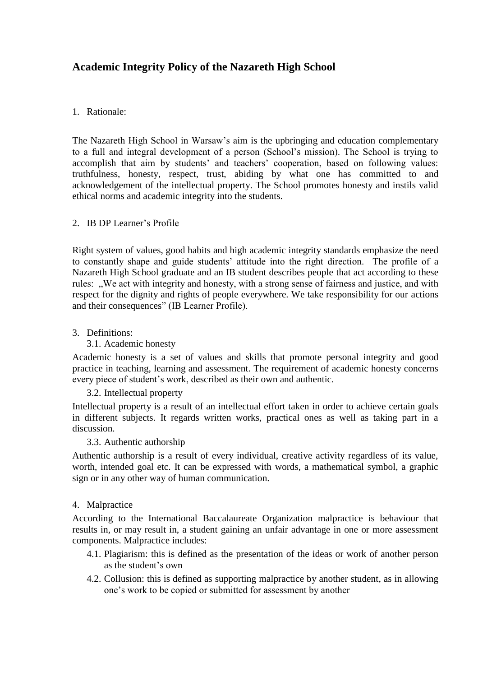# **Academic Integrity Policy of the Nazareth High School**

#### 1. Rationale:

The Nazareth High School in Warsaw"s aim is the upbringing and education complementary to a full and integral development of a person (School"s mission). The School is trying to accomplish that aim by students' and teachers' cooperation, based on following values: truthfulness, honesty, respect, trust, abiding by what one has committed to and acknowledgement of the intellectual property. The School promotes honesty and instils valid ethical norms and academic integrity into the students.

#### 2. IB DP Learner"s Profile

Right system of values, good habits and high academic integrity standards emphasize the need to constantly shape and guide students" attitude into the right direction. The profile of a Nazareth High School graduate and an IB student describes people that act according to these rules: "We act with integrity and honesty, with a strong sense of fairness and justice, and with respect for the dignity and rights of people everywhere. We take responsibility for our actions and their consequences" (IB Learner Profile).

#### 3. Definitions:

#### 3.1. Academic honesty

Academic honesty is a set of values and skills that promote personal integrity and good practice in teaching, learning and assessment. The requirement of academic honesty concerns every piece of student"s work, described as their own and authentic.

#### 3.2. Intellectual property

Intellectual property is a result of an intellectual effort taken in order to achieve certain goals in different subjects. It regards written works, practical ones as well as taking part in a discussion.

#### 3.3. Authentic authorship

Authentic authorship is a result of every individual, creative activity regardless of its value, worth, intended goal etc. It can be expressed with words, a mathematical symbol, a graphic sign or in any other way of human communication.

#### 4. Malpractice

According to the International Baccalaureate Organization malpractice is behaviour that results in, or may result in, a student gaining an unfair advantage in one or more assessment components. Malpractice includes:

- 4.1. Plagiarism: this is defined as the presentation of the ideas or work of another person as the student"s own
- 4.2. Collusion: this is defined as supporting malpractice by another student, as in allowing one"s work to be copied or submitted for assessment by another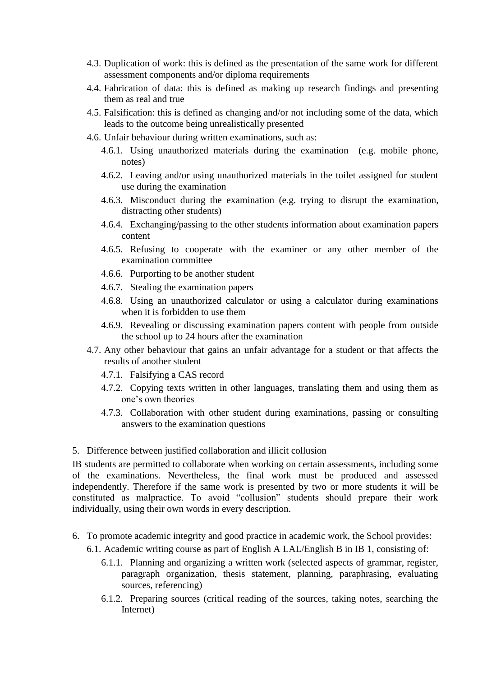- 4.3. Duplication of work: this is defined as the presentation of the same work for different assessment components and/or diploma requirements
- 4.4. Fabrication of data: this is defined as making up research findings and presenting them as real and true
- 4.5. Falsification: this is defined as changing and/or not including some of the data, which leads to the outcome being unrealistically presented
- 4.6. Unfair behaviour during written examinations, such as:
	- 4.6.1. Using unauthorized materials during the examination (e.g. mobile phone, notes)
	- 4.6.2. Leaving and/or using unauthorized materials in the toilet assigned for student use during the examination
	- 4.6.3. Misconduct during the examination (e.g. trying to disrupt the examination, distracting other students)
	- 4.6.4. Exchanging/passing to the other students information about examination papers content
	- 4.6.5. Refusing to cooperate with the examiner or any other member of the examination committee
	- 4.6.6. Purporting to be another student
	- 4.6.7. Stealing the examination papers
	- 4.6.8. Using an unauthorized calculator or using a calculator during examinations when it is forbidden to use them
	- 4.6.9. Revealing or discussing examination papers content with people from outside the school up to 24 hours after the examination
- 4.7. Any other behaviour that gains an unfair advantage for a student or that affects the results of another student
	- 4.7.1. Falsifying a CAS record
	- 4.7.2. Copying texts written in other languages, translating them and using them as one"s own theories
	- 4.7.3. Collaboration with other student during examinations, passing or consulting answers to the examination questions
- 5. Difference between justified collaboration and illicit collusion

IB students are permitted to collaborate when working on certain assessments, including some of the examinations. Nevertheless, the final work must be produced and assessed independently. Therefore if the same work is presented by two or more students it will be constituted as malpractice. To avoid "collusion" students should prepare their work individually, using their own words in every description.

- 6. To promote academic integrity and good practice in academic work, the School provides:
	- 6.1. Academic writing course as part of English A LAL/English B in IB 1, consisting of:
		- 6.1.1. Planning and organizing a written work (selected aspects of grammar, register, paragraph organization, thesis statement, planning, paraphrasing, evaluating sources, referencing)
		- 6.1.2. Preparing sources (critical reading of the sources, taking notes, searching the Internet)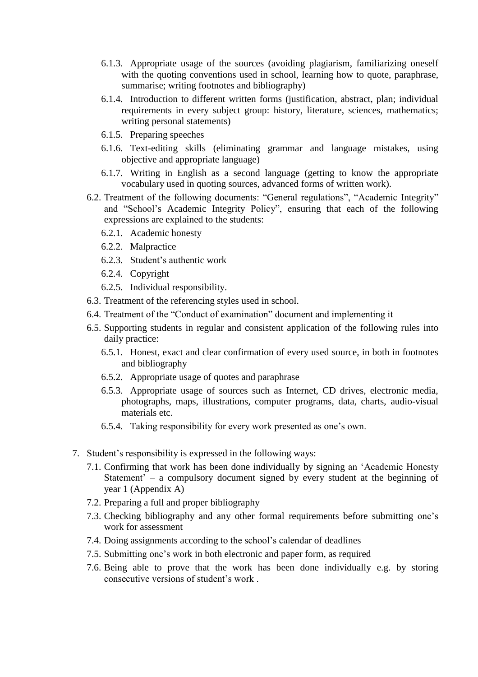- 6.1.3. Appropriate usage of the sources (avoiding plagiarism, familiarizing oneself with the quoting conventions used in school, learning how to quote, paraphrase, summarise; writing footnotes and bibliography)
- 6.1.4. Introduction to different written forms (justification, abstract, plan; individual requirements in every subject group: history, literature, sciences, mathematics; writing personal statements)
- 6.1.5. Preparing speeches
- 6.1.6. Text-editing skills (eliminating grammar and language mistakes, using objective and appropriate language)
- 6.1.7. Writing in English as a second language (getting to know the appropriate vocabulary used in quoting sources, advanced forms of written work).
- 6.2. Treatment of the following documents: "General regulations", "Academic Integrity" and "School"s Academic Integrity Policy", ensuring that each of the following expressions are explained to the students:
	- 6.2.1. Academic honesty
	- 6.2.2. Malpractice
	- 6.2.3. Student"s authentic work
	- 6.2.4. Copyright
	- 6.2.5. Individual responsibility.
- 6.3. Treatment of the referencing styles used in school.
- 6.4. Treatment of the "Conduct of examination" document and implementing it
- 6.5. Supporting students in regular and consistent application of the following rules into daily practice:
	- 6.5.1. Honest, exact and clear confirmation of every used source, in both in footnotes and bibliography
	- 6.5.2. Appropriate usage of quotes and paraphrase
	- 6.5.3. Appropriate usage of sources such as Internet, CD drives, electronic media, photographs, maps, illustrations, computer programs, data, charts, audio-visual materials etc.
	- 6.5.4. Taking responsibility for every work presented as one"s own.
- 7. Student"s responsibility is expressed in the following ways:
	- 7.1. Confirming that work has been done individually by signing an "Academic Honesty Statement" – a compulsory document signed by every student at the beginning of year 1 (Appendix A)
	- 7.2. Preparing a full and proper bibliography
	- 7.3. Checking bibliography and any other formal requirements before submitting one"s work for assessment
	- 7.4. Doing assignments according to the school"s calendar of deadlines
	- 7.5. Submitting one"s work in both electronic and paper form, as required
	- 7.6. Being able to prove that the work has been done individually e.g. by storing consecutive versions of student"s work .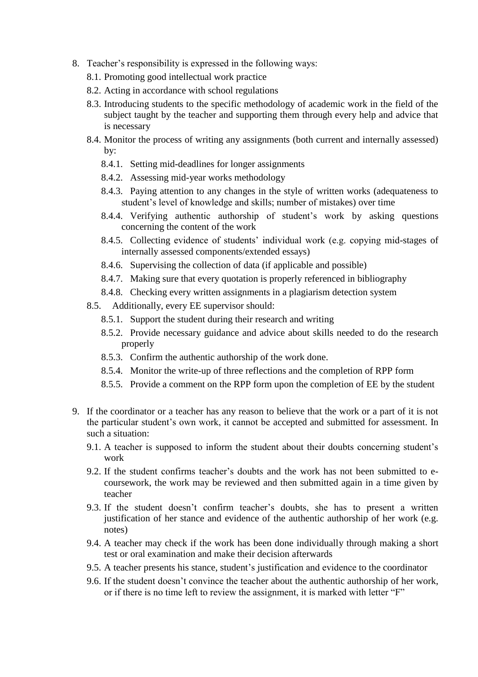- 8. Teacher"s responsibility is expressed in the following ways:
	- 8.1. Promoting good intellectual work practice
	- 8.2. Acting in accordance with school regulations
	- 8.3. Introducing students to the specific methodology of academic work in the field of the subject taught by the teacher and supporting them through every help and advice that is necessary
	- 8.4. Monitor the process of writing any assignments (both current and internally assessed) by:
		- 8.4.1. Setting mid-deadlines for longer assignments
		- 8.4.2. Assessing mid-year works methodology
		- 8.4.3. Paying attention to any changes in the style of written works (adequateness to student"s level of knowledge and skills; number of mistakes) over time
		- 8.4.4. Verifying authentic authorship of student"s work by asking questions concerning the content of the work
		- 8.4.5. Collecting evidence of students' individual work (e.g. copying mid-stages of internally assessed components/extended essays)
		- 8.4.6. Supervising the collection of data (if applicable and possible)
		- 8.4.7. Making sure that every quotation is properly referenced in bibliography
		- 8.4.8. Checking every written assignments in a plagiarism detection system
	- 8.5. Additionally, every EE supervisor should:
		- 8.5.1. Support the student during their research and writing
		- 8.5.2. Provide necessary guidance and advice about skills needed to do the research properly
		- 8.5.3. Confirm the authentic authorship of the work done.
		- 8.5.4. Monitor the write-up of three reflections and the completion of RPP form
		- 8.5.5. Provide a comment on the RPP form upon the completion of EE by the student
- 9. If the coordinator or a teacher has any reason to believe that the work or a part of it is not the particular student's own work, it cannot be accepted and submitted for assessment. In such a situation:
	- 9.1. A teacher is supposed to inform the student about their doubts concerning student"s work
	- 9.2. If the student confirms teacher"s doubts and the work has not been submitted to ecoursework, the work may be reviewed and then submitted again in a time given by teacher
	- 9.3. If the student doesn"t confirm teacher"s doubts, she has to present a written justification of her stance and evidence of the authentic authorship of her work (e.g. notes)
	- 9.4. A teacher may check if the work has been done individually through making a short test or oral examination and make their decision afterwards
	- 9.5. A teacher presents his stance, student's justification and evidence to the coordinator
	- 9.6. If the student doesn"t convince the teacher about the authentic authorship of her work, or if there is no time left to review the assignment, it is marked with letter "F"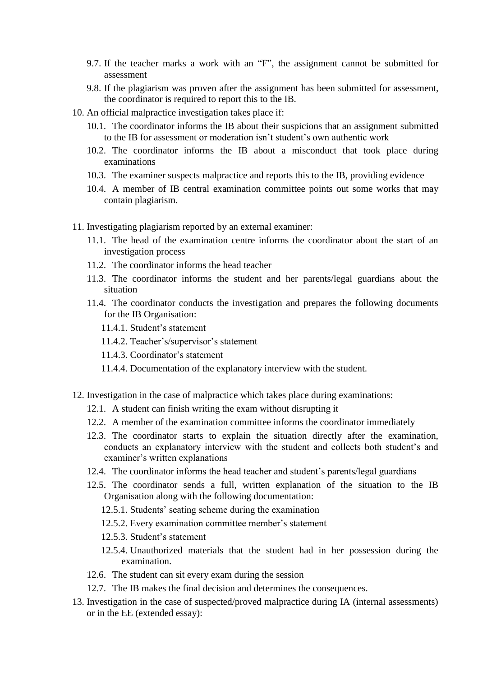- 9.7. If the teacher marks a work with an "F", the assignment cannot be submitted for assessment
- 9.8. If the plagiarism was proven after the assignment has been submitted for assessment, the coordinator is required to report this to the IB.
- 10. An official malpractice investigation takes place if:
	- 10.1. The coordinator informs the IB about their suspicions that an assignment submitted to the IB for assessment or moderation isn't student's own authentic work
	- 10.2. The coordinator informs the IB about a misconduct that took place during examinations
	- 10.3. The examiner suspects malpractice and reports this to the IB, providing evidence
	- 10.4. A member of IB central examination committee points out some works that may contain plagiarism.
- 11. Investigating plagiarism reported by an external examiner:
	- 11.1. The head of the examination centre informs the coordinator about the start of an investigation process
	- 11.2. The coordinator informs the head teacher
	- 11.3. The coordinator informs the student and her parents/legal guardians about the situation
	- 11.4. The coordinator conducts the investigation and prepares the following documents for the IB Organisation:
		- 11.4.1. Student"s statement
		- 11.4.2. Teacher's/supervisor's statement
		- 11.4.3. Coordinator's statement
		- 11.4.4. Documentation of the explanatory interview with the student.
- 12. Investigation in the case of malpractice which takes place during examinations:
	- 12.1. A student can finish writing the exam without disrupting it
	- 12.2. A member of the examination committee informs the coordinator immediately
	- 12.3. The coordinator starts to explain the situation directly after the examination, conducts an explanatory interview with the student and collects both student"s and examiner's written explanations
	- 12.4. The coordinator informs the head teacher and student"s parents/legal guardians
	- 12.5. The coordinator sends a full, written explanation of the situation to the IB Organisation along with the following documentation:
		- 12.5.1. Students" seating scheme during the examination
		- 12.5.2. Every examination committee member's statement
		- 12.5.3. Student"s statement
		- 12.5.4. Unauthorized materials that the student had in her possession during the examination.
	- 12.6. The student can sit every exam during the session
	- 12.7. The IB makes the final decision and determines the consequences.
- 13. Investigation in the case of suspected/proved malpractice during IA (internal assessments) or in the EE (extended essay):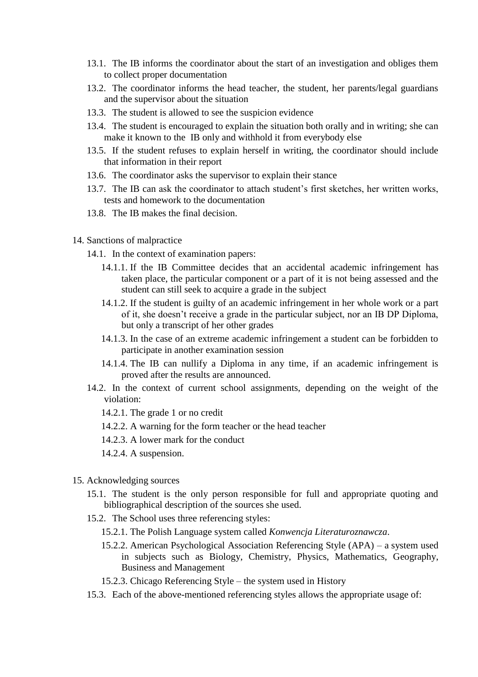- 13.1. The IB informs the coordinator about the start of an investigation and obliges them to collect proper documentation
- 13.2. The coordinator informs the head teacher, the student, her parents/legal guardians and the supervisor about the situation
- 13.3. The student is allowed to see the suspicion evidence
- 13.4. The student is encouraged to explain the situation both orally and in writing; she can make it known to the IB only and withhold it from everybody else
- 13.5. If the student refuses to explain herself in writing, the coordinator should include that information in their report
- 13.6. The coordinator asks the supervisor to explain their stance
- 13.7. The IB can ask the coordinator to attach student"s first sketches, her written works, tests and homework to the documentation
- 13.8. The IB makes the final decision.
- 14. Sanctions of malpractice
	- 14.1. In the context of examination papers:
		- 14.1.1. If the IB Committee decides that an accidental academic infringement has taken place, the particular component or a part of it is not being assessed and the student can still seek to acquire a grade in the subject
		- 14.1.2. If the student is guilty of an academic infringement in her whole work or a part of it, she doesn"t receive a grade in the particular subject, nor an IB DP Diploma, but only a transcript of her other grades
		- 14.1.3. In the case of an extreme academic infringement a student can be forbidden to participate in another examination session
		- 14.1.4. The IB can nullify a Diploma in any time, if an academic infringement is proved after the results are announced.
	- 14.2. In the context of current school assignments, depending on the weight of the violation:
		- 14.2.1. The grade 1 or no credit
		- 14.2.2. A warning for the form teacher or the head teacher
		- 14.2.3. A lower mark for the conduct
		- 14.2.4. A suspension.
- 15. Acknowledging sources
	- 15.1. The student is the only person responsible for full and appropriate quoting and bibliographical description of the sources she used.
	- 15.2. The School uses three referencing styles:
		- 15.2.1. The Polish Language system called *Konwencja Literaturoznawcza*.
		- 15.2.2. American Psychological Association Referencing Style (APA) a system used in subjects such as Biology, Chemistry, Physics, Mathematics, Geography, Business and Management
		- 15.2.3. Chicago Referencing Style the system used in History
	- 15.3. Each of the above-mentioned referencing styles allows the appropriate usage of: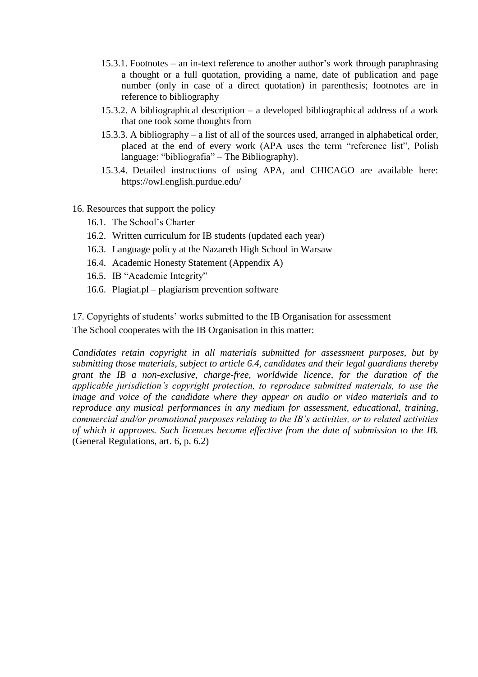- 15.3.1. Footnotes an in-text reference to another author"s work through paraphrasing a thought or a full quotation, providing a name, date of publication and page number (only in case of a direct quotation) in parenthesis; footnotes are in reference to bibliography
- 15.3.2. A bibliographical description a developed bibliographical address of a work that one took some thoughts from
- 15.3.3. A bibliography a list of all of the sources used, arranged in alphabetical order, placed at the end of every work (APA uses the term "reference list", Polish language: "bibliografia" – The Bibliography).
- 15.3.4. Detailed instructions of using APA, and CHICAGO are available here: https://owl.english.purdue.edu/
- 16. Resources that support the policy
	- 16.1. The School"s Charter
	- 16.2. Written curriculum for IB students (updated each year)
	- 16.3. Language policy at the Nazareth High School in Warsaw
	- 16.4. Academic Honesty Statement (Appendix A)
	- 16.5. IB "Academic Integrity"
	- 16.6. Plagiat.pl plagiarism prevention software

17. Copyrights of students" works submitted to the IB Organisation for assessment The School cooperates with the IB Organisation in this matter:

*Candidates retain copyright in all materials submitted for assessment purposes, but by submitting those materials, subject to article 6.4, candidates and their legal guardians thereby grant the IB a non-exclusive, charge-free, worldwide licence, for the duration of the applicable jurisdiction's copyright protection, to reproduce submitted materials, to use the image and voice of the candidate where they appear on audio or video materials and to reproduce any musical performances in any medium for assessment, educational, training, commercial and/or promotional purposes relating to the IB's activities, or to related activities of which it approves. Such licences become effective from the date of submission to the IB.*  (General Regulations, art. 6, p. 6.2)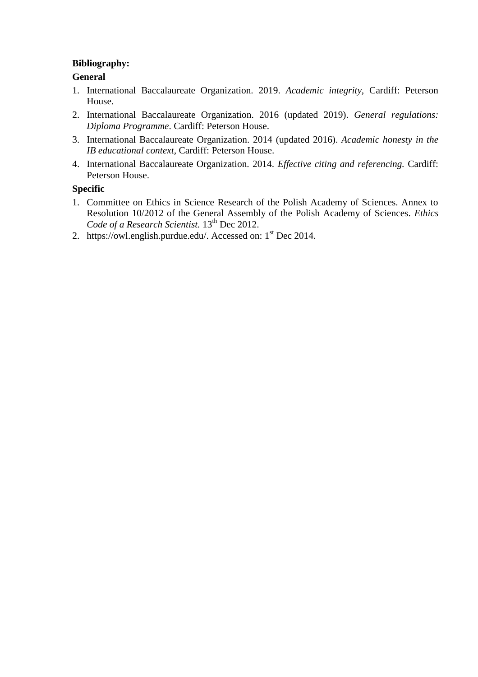### **Bibliography:**

## **General**

- 1. International Baccalaureate Organization. 2019. *Academic integrity,* Cardiff: Peterson House.
- 2. International Baccalaureate Organization. 2016 (updated 2019). *General regulations: Diploma Programme*. Cardiff: Peterson House.
- 3. International Baccalaureate Organization. 2014 (updated 2016). *Academic honesty in the IB educational context,* Cardiff: Peterson House.
- 4. International Baccalaureate Organization. 2014. *Effective citing and referencing.* Cardiff: Peterson House.

## **Specific**

- 1. Committee on Ethics in Science Research of the Polish Academy of Sciences. Annex to Resolution 10/2012 of the General Assembly of the Polish Academy of Sciences. *Ethics*  Code of a Research Scientist.  $13^{th}$  Dec 2012.
- 2. https://owl.english.purdue.edu/. Accessed on:  $1<sup>st</sup>$  Dec 2014.